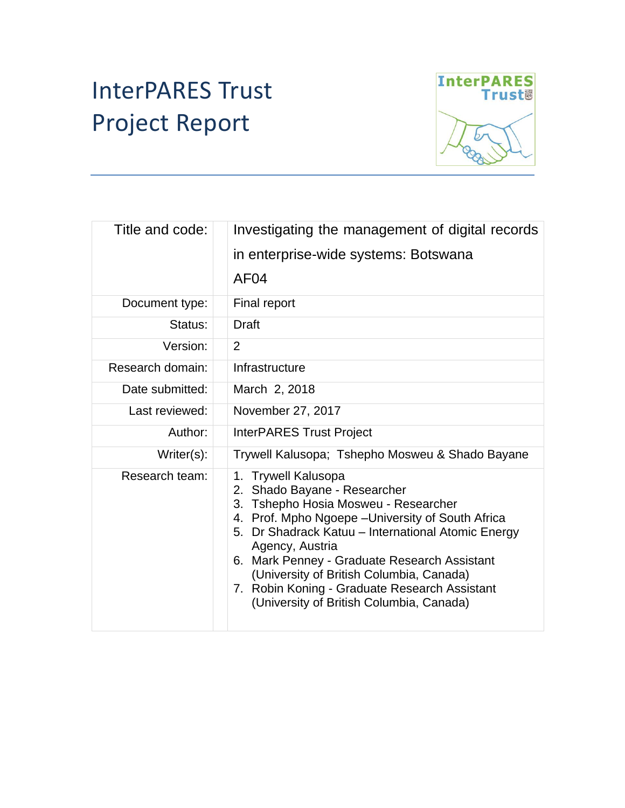# InterPARES Trust Project Report



| Title and code:  | Investigating the management of digital records                                                                                                                                                                                                                                                                                                                                                                    |  |  |
|------------------|--------------------------------------------------------------------------------------------------------------------------------------------------------------------------------------------------------------------------------------------------------------------------------------------------------------------------------------------------------------------------------------------------------------------|--|--|
|                  | in enterprise-wide systems: Botswana                                                                                                                                                                                                                                                                                                                                                                               |  |  |
|                  | AF <sub>04</sub>                                                                                                                                                                                                                                                                                                                                                                                                   |  |  |
| Document type:   | Final report                                                                                                                                                                                                                                                                                                                                                                                                       |  |  |
| Status:          | <b>Draft</b>                                                                                                                                                                                                                                                                                                                                                                                                       |  |  |
| Version:         | $\overline{2}$                                                                                                                                                                                                                                                                                                                                                                                                     |  |  |
| Research domain: | Infrastructure                                                                                                                                                                                                                                                                                                                                                                                                     |  |  |
| Date submitted:  | March 2, 2018                                                                                                                                                                                                                                                                                                                                                                                                      |  |  |
| Last reviewed:   | November 27, 2017                                                                                                                                                                                                                                                                                                                                                                                                  |  |  |
| Author:          | <b>InterPARES Trust Project</b>                                                                                                                                                                                                                                                                                                                                                                                    |  |  |
| Writer(s):       | Trywell Kalusopa; Tshepho Mosweu & Shado Bayane                                                                                                                                                                                                                                                                                                                                                                    |  |  |
| Research team:   | 1. Trywell Kalusopa<br>2. Shado Bayane - Researcher<br>3. Tshepho Hosia Mosweu - Researcher<br>4. Prof. Mpho Ngoepe - University of South Africa<br>5. Dr Shadrack Katuu - International Atomic Energy<br>Agency, Austria<br>6. Mark Penney - Graduate Research Assistant<br>(University of British Columbia, Canada)<br>7. Robin Koning - Graduate Research Assistant<br>(University of British Columbia, Canada) |  |  |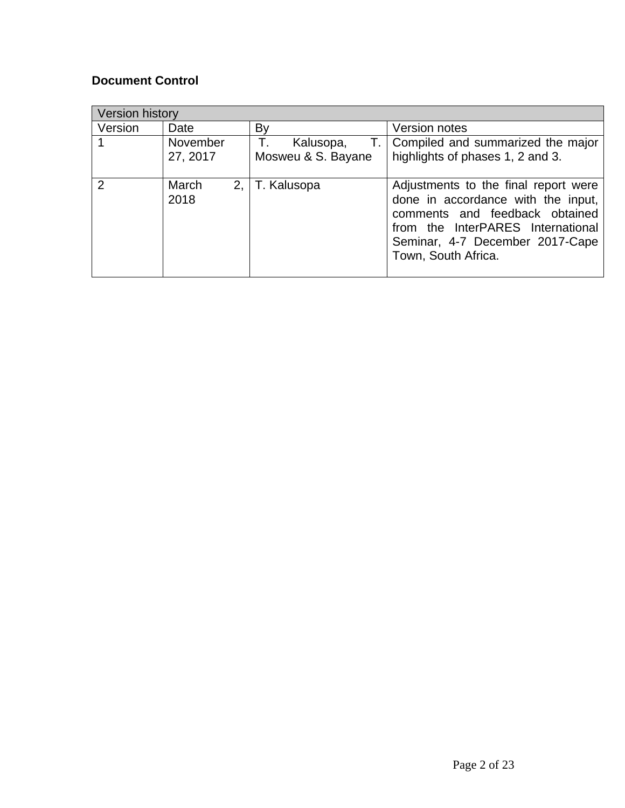#### **Document Control**

| <b>Version history</b> |               |                    |                                                                                                                                                                                                             |  |  |  |
|------------------------|---------------|--------------------|-------------------------------------------------------------------------------------------------------------------------------------------------------------------------------------------------------------|--|--|--|
| Version                | Date          | By                 | <b>Version notes</b>                                                                                                                                                                                        |  |  |  |
|                        | November      | Kalusopa,<br>Т.    | T.   Compiled and summarized the major                                                                                                                                                                      |  |  |  |
|                        | 27, 2017      | Mosweu & S. Bayane | highlights of phases 1, 2 and 3.                                                                                                                                                                            |  |  |  |
| 2                      | March<br>2018 | 2,   T. Kalusopa   | Adjustments to the final report were<br>done in accordance with the input,<br>comments and feedback obtained<br>from the InterPARES International<br>Seminar, 4-7 December 2017-Cape<br>Town, South Africa. |  |  |  |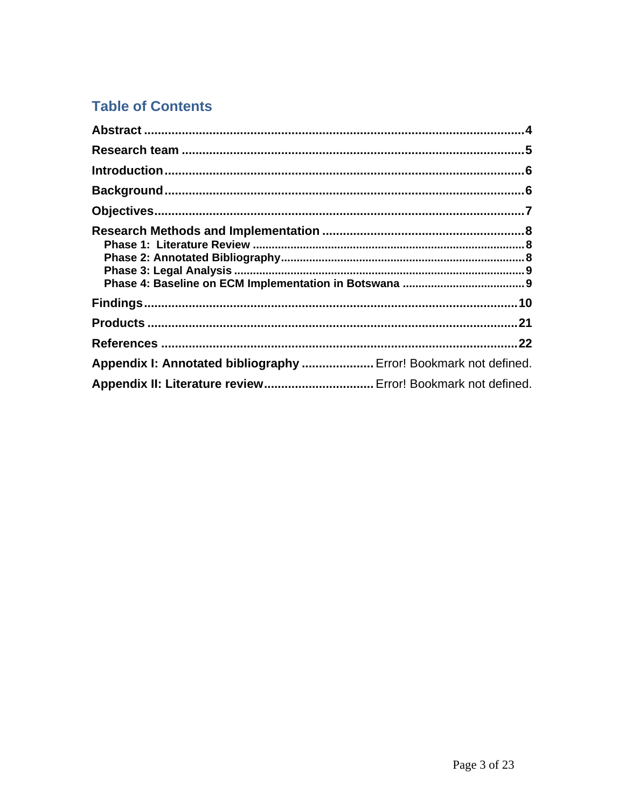### **Table of Contents**

| Appendix I: Annotated bibliography  Error! Bookmark not defined. |  |
|------------------------------------------------------------------|--|
|                                                                  |  |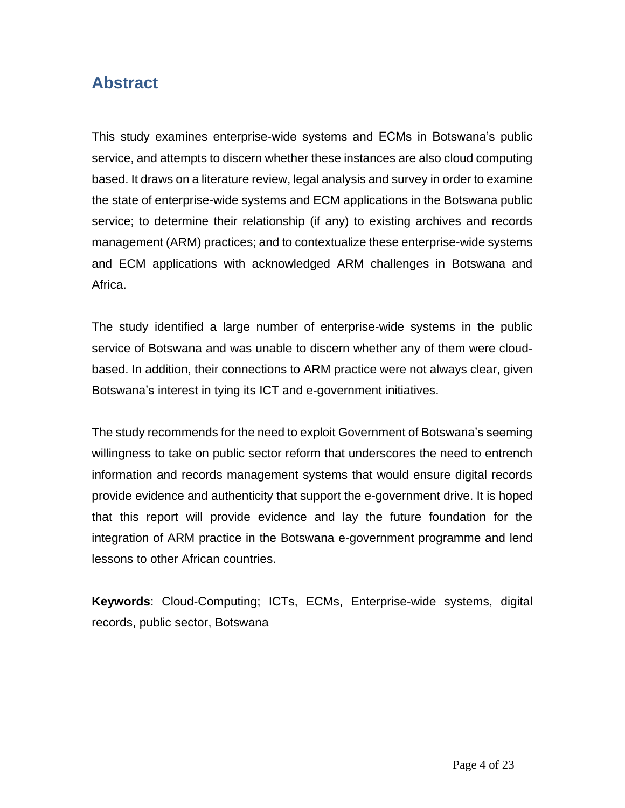### <span id="page-3-0"></span>**Abstract**

This study examines enterprise-wide systems and ECMs in Botswana's public service, and attempts to discern whether these instances are also cloud computing based. It draws on a literature review, legal analysis and survey in order to examine the state of enterprise-wide systems and ECM applications in the Botswana public service; to determine their relationship (if any) to existing archives and records management (ARM) practices; and to contextualize these enterprise-wide systems and ECM applications with acknowledged ARM challenges in Botswana and Africa.

The study identified a large number of enterprise-wide systems in the public service of Botswana and was unable to discern whether any of them were cloudbased. In addition, their connections to ARM practice were not always clear, given Botswana's interest in tying its ICT and e-government initiatives.

The study recommends for the need to exploit Government of Botswana's seeming willingness to take on public sector reform that underscores the need to entrench information and records management systems that would ensure digital records provide evidence and authenticity that support the e-government drive. It is hoped that this report will provide evidence and lay the future foundation for the integration of ARM practice in the Botswana e-government programme and lend lessons to other African countries.

**Keywords**: Cloud-Computing; ICTs, ECMs, Enterprise-wide systems, digital records, public sector, Botswana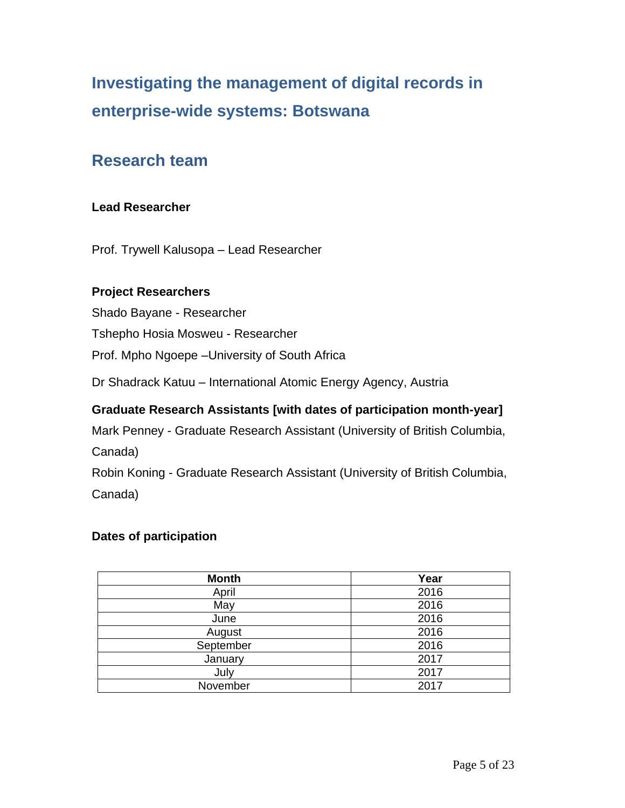## **Investigating the management of digital records in enterprise-wide systems: Botswana**

### <span id="page-4-0"></span>**Research team**

#### **Lead Researcher**

Prof. Trywell Kalusopa – Lead Researcher

#### **Project Researchers**

Shado Bayane - Researcher Tshepho Hosia Mosweu - Researcher Prof. Mpho Ngoepe –University of South Africa

Dr Shadrack Katuu – International Atomic Energy Agency, Austria

#### **Graduate Research Assistants [with dates of participation month-year]**

Mark Penney - Graduate Research Assistant (University of British Columbia, Canada)

Robin Koning - Graduate Research Assistant (University of British Columbia, Canada)

#### **Dates of participation**

| <b>Month</b> | Year |
|--------------|------|
| April        | 2016 |
| May          | 2016 |
| June         | 2016 |
| August       | 2016 |
| September    | 2016 |
| January      | 2017 |
| July         | 2017 |
| November     | 2017 |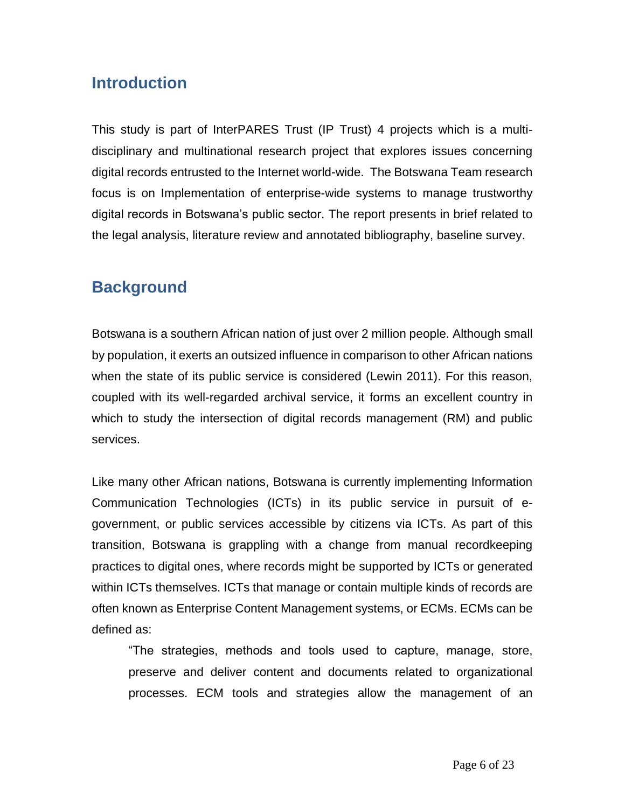### <span id="page-5-0"></span>**Introduction**

This study is part of InterPARES Trust (IP Trust) 4 projects which is a multidisciplinary and multinational research project that explores issues concerning digital records entrusted to the Internet world-wide. The Botswana Team research focus is on Implementation of enterprise-wide systems to manage trustworthy digital records in Botswana's public sector. The report presents in brief related to the legal analysis, literature review and annotated bibliography, baseline survey.

### <span id="page-5-1"></span>**Background**

Botswana is a southern African nation of just over 2 million people. Although small by population, it exerts an outsized influence in comparison to other African nations when the state of its public service is considered (Lewin 2011). For this reason, coupled with its well-regarded archival service, it forms an excellent country in which to study the intersection of digital records management (RM) and public services.

Like many other African nations, Botswana is currently implementing Information Communication Technologies (ICTs) in its public service in pursuit of egovernment, or public services accessible by citizens via ICTs. As part of this transition, Botswana is grappling with a change from manual recordkeeping practices to digital ones, where records might be supported by ICTs or generated within ICTs themselves. ICTs that manage or contain multiple kinds of records are often known as Enterprise Content Management systems, or ECMs. ECMs can be defined as:

"The strategies, methods and tools used to capture, manage, store, preserve and deliver content and documents related to organizational processes. ECM tools and strategies allow the management of an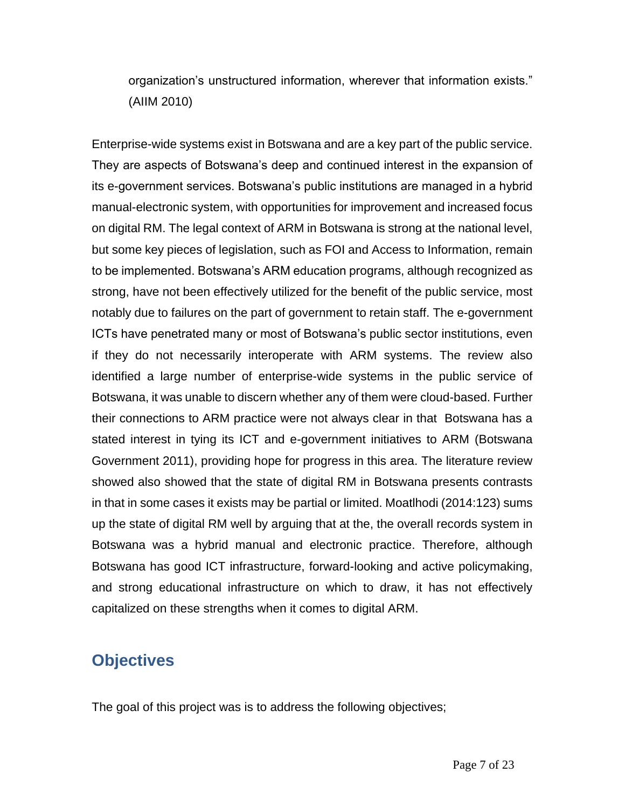organization's unstructured information, wherever that information exists." (AIIM 2010)

Enterprise-wide systems exist in Botswana and are a key part of the public service. They are aspects of Botswana's deep and continued interest in the expansion of its e-government services. Botswana's public institutions are managed in a hybrid manual-electronic system, with opportunities for improvement and increased focus on digital RM. The legal context of ARM in Botswana is strong at the national level, but some key pieces of legislation, such as FOI and Access to Information, remain to be implemented. Botswana's ARM education programs, although recognized as strong, have not been effectively utilized for the benefit of the public service, most notably due to failures on the part of government to retain staff. The e-government ICTs have penetrated many or most of Botswana's public sector institutions, even if they do not necessarily interoperate with ARM systems. The review also identified a large number of enterprise-wide systems in the public service of Botswana, it was unable to discern whether any of them were cloud-based. Further their connections to ARM practice were not always clear in that Botswana has a stated interest in tying its ICT and e-government initiatives to ARM (Botswana Government 2011), providing hope for progress in this area. The literature review showed also showed that the state of digital RM in Botswana presents contrasts in that in some cases it exists may be partial or limited. Moatlhodi (2014:123) sums up the state of digital RM well by arguing that at the, the overall records system in Botswana was a hybrid manual and electronic practice. Therefore, although Botswana has good ICT infrastructure, forward-looking and active policymaking, and strong educational infrastructure on which to draw, it has not effectively capitalized on these strengths when it comes to digital ARM.

### <span id="page-6-0"></span>**Objectives**

The goal of this project was is to address the following objectives;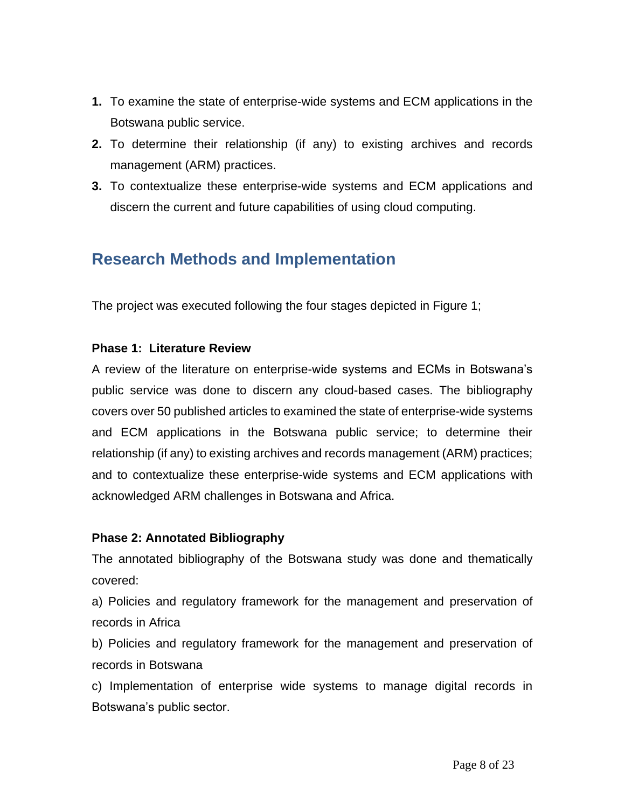- **1.** To examine the state of enterprise-wide systems and ECM applications in the Botswana public service.
- **2.** To determine their relationship (if any) to existing archives and records management (ARM) practices.
- **3.** To contextualize these enterprise-wide systems and ECM applications and discern the current and future capabilities of using cloud computing.

### <span id="page-7-0"></span>**Research Methods and Implementation**

<span id="page-7-1"></span>The project was executed following the four stages depicted in Figure 1;

#### **Phase 1: Literature Review**

A review of the literature on enterprise-wide systems and ECMs in Botswana's public service was done to discern any cloud-based cases. The bibliography covers over 50 published articles to examined the state of enterprise-wide systems and ECM applications in the Botswana public service; to determine their relationship (if any) to existing archives and records management (ARM) practices; and to contextualize these enterprise-wide systems and ECM applications with acknowledged ARM challenges in Botswana and Africa.

#### <span id="page-7-2"></span>**Phase 2: Annotated Bibliography**

The annotated bibliography of the Botswana study was done and thematically covered:

a) Policies and regulatory framework for the management and preservation of records in Africa

b) Policies and regulatory framework for the management and preservation of records in Botswana

c) Implementation of enterprise wide systems to manage digital records in Botswana's public sector.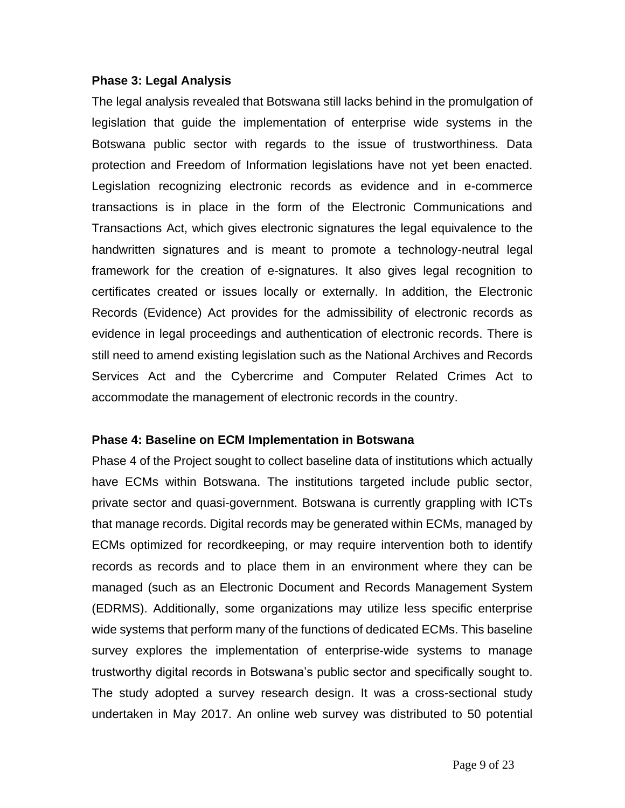#### <span id="page-8-0"></span>**Phase 3: Legal Analysis**

The legal analysis revealed that Botswana still lacks behind in the promulgation of legislation that guide the implementation of enterprise wide systems in the Botswana public sector with regards to the issue of trustworthiness. Data protection and Freedom of Information legislations have not yet been enacted. Legislation recognizing electronic records as evidence and in e-commerce transactions is in place in the form of the Electronic Communications and Transactions Act, which gives electronic signatures the legal equivalence to the handwritten signatures and is meant to promote a technology-neutral legal framework for the creation of e-signatures. It also gives legal recognition to certificates created or issues locally or externally. In addition, the Electronic Records (Evidence) Act provides for the admissibility of electronic records as evidence in legal proceedings and authentication of electronic records. There is still need to amend existing legislation such as the National Archives and Records Services Act and the Cybercrime and Computer Related Crimes Act to accommodate the management of electronic records in the country.

#### <span id="page-8-1"></span>**Phase 4: Baseline on ECM Implementation in Botswana**

Phase 4 of the Project sought to collect baseline data of institutions which actually have ECMs within Botswana. The institutions targeted include public sector, private sector and quasi-government. Botswana is currently grappling with ICTs that manage records. Digital records may be generated within ECMs, managed by ECMs optimized for recordkeeping, or may require intervention both to identify records as records and to place them in an environment where they can be managed (such as an Electronic Document and Records Management System (EDRMS). Additionally, some organizations may utilize less specific enterprise wide systems that perform many of the functions of dedicated ECMs. This baseline survey explores the implementation of enterprise-wide systems to manage trustworthy digital records in Botswana's public sector and specifically sought to. The study adopted a survey research design. It was a cross-sectional study undertaken in May 2017. An online web survey was distributed to 50 potential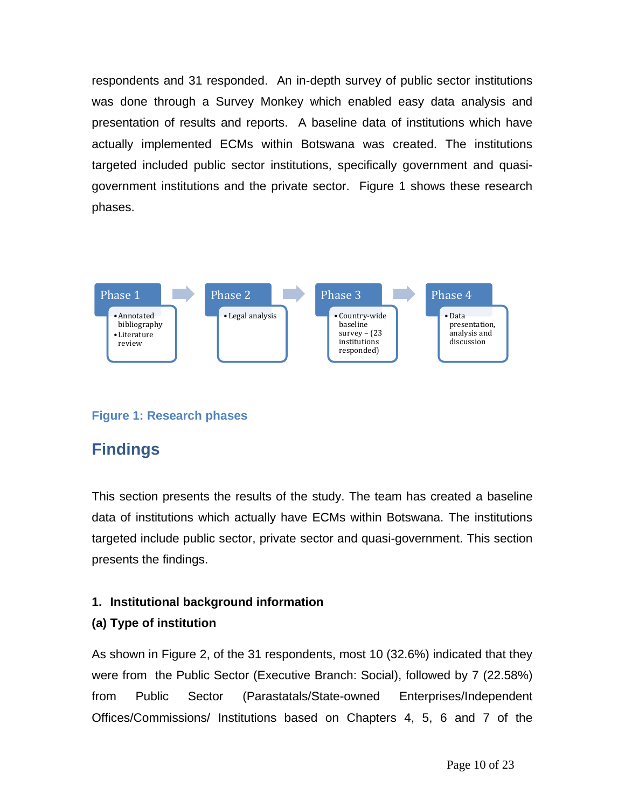respondents and 31 responded. An in-depth survey of public sector institutions was done through a Survey Monkey which enabled easy data analysis and presentation of results and reports. A baseline data of institutions which have actually implemented ECMs within Botswana was created. The institutions targeted included public sector institutions, specifically government and quasigovernment institutions and the private sector. Figure 1 shows these research phases.



#### **Figure 1: Research phases**

### <span id="page-9-0"></span>**Findings**

This section presents the results of the study. The team has created a baseline data of institutions which actually have ECMs within Botswana. The institutions targeted include public sector, private sector and quasi-government. This section presents the findings.

#### **1. Institutional background information**

#### **(a) Type of institution**

As shown in Figure 2, of the 31 respondents, most 10 (32.6%) indicated that they were from the Public Sector (Executive Branch: Social), followed by 7 (22.58%) from Public Sector (Parastatals/State-owned Enterprises/Independent Offices/Commissions/ Institutions based on Chapters 4, 5, 6 and 7 of the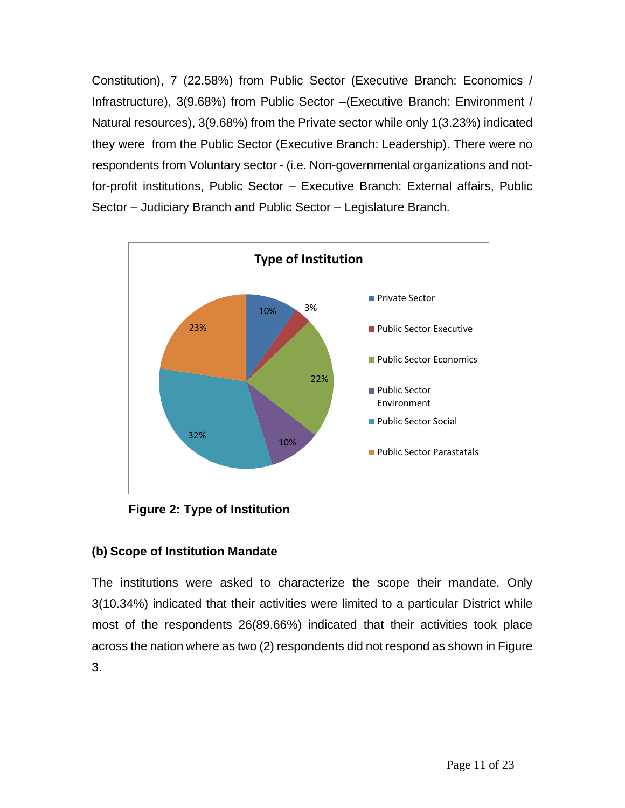Constitution), 7 (22.58%) from Public Sector (Executive Branch: Economics / Infrastructure), 3(9.68%) from Public Sector –(Executive Branch: Environment / Natural resources), 3(9.68%) from the Private sector while only 1(3.23%) indicated they were from the Public Sector (Executive Branch: Leadership). There were no respondents from Voluntary sector - (i.e. Non-governmental organizations and notfor-profit institutions, Public Sector – Executive Branch: External affairs, Public Sector – Judiciary Branch and Public Sector – Legislature Branch.



**Figure 2: Type of Institution**

#### **(b) Scope of Institution Mandate**

The institutions were asked to characterize the scope their mandate. Only 3(10.34%) indicated that their activities were limited to a particular District while most of the respondents 26(89.66%) indicated that their activities took place across the nation where as two (2) respondents did not respond as shown in Figure 3.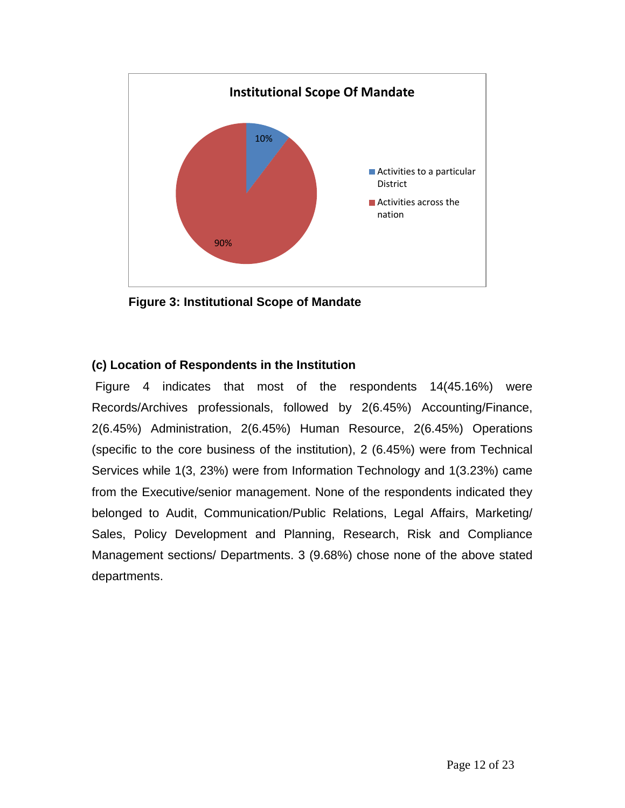

**Figure 3: Institutional Scope of Mandate**

#### **(c) Location of Respondents in the Institution**

Figure 4 indicates that most of the respondents 14(45.16%) were Records/Archives professionals, followed by 2(6.45%) Accounting/Finance, 2(6.45%) Administration, 2(6.45%) Human Resource, 2(6.45%) Operations (specific to the core business of the institution), 2 (6.45%) were from Technical Services while 1(3, 23%) were from Information Technology and 1(3.23%) came from the Executive/senior management. None of the respondents indicated they belonged to Audit, Communication/Public Relations, Legal Affairs, Marketing/ Sales, Policy Development and Planning, Research, Risk and Compliance Management sections/ Departments. 3 (9.68%) chose none of the above stated departments.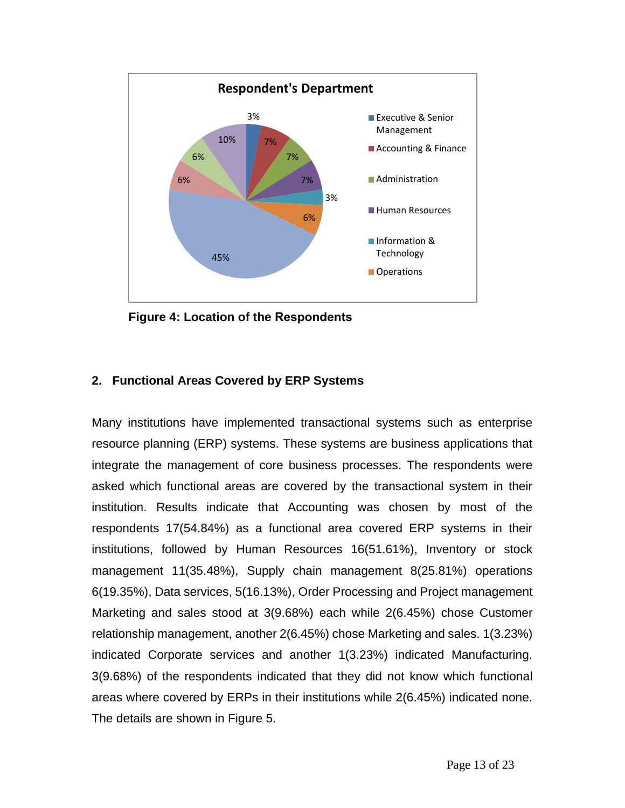

**Figure 4: Location of the Respondents**

#### **2. Functional Areas Covered by ERP Systems**

Many institutions have implemented transactional systems such as enterprise resource planning (ERP) systems. These systems are business applications that integrate the management of core business processes. The respondents were asked which functional areas are covered by the transactional system in their institution. Results indicate that Accounting was chosen by most of the respondents 17(54.84%) as a functional area covered ERP systems in their institutions, followed by Human Resources 16(51.61%), Inventory or stock management 11(35.48%), Supply chain management 8(25.81%) operations 6(19.35%), Data services, 5(16.13%), Order Processing and Project management Marketing and sales stood at 3(9.68%) each while 2(6.45%) chose Customer relationship management, another 2(6.45%) chose Marketing and sales. 1(3.23%) indicated Corporate services and another 1(3.23%) indicated Manufacturing. 3(9.68%) of the respondents indicated that they did not know which functional areas where covered by ERPs in their institutions while 2(6.45%) indicated none. The details are shown in Figure 5.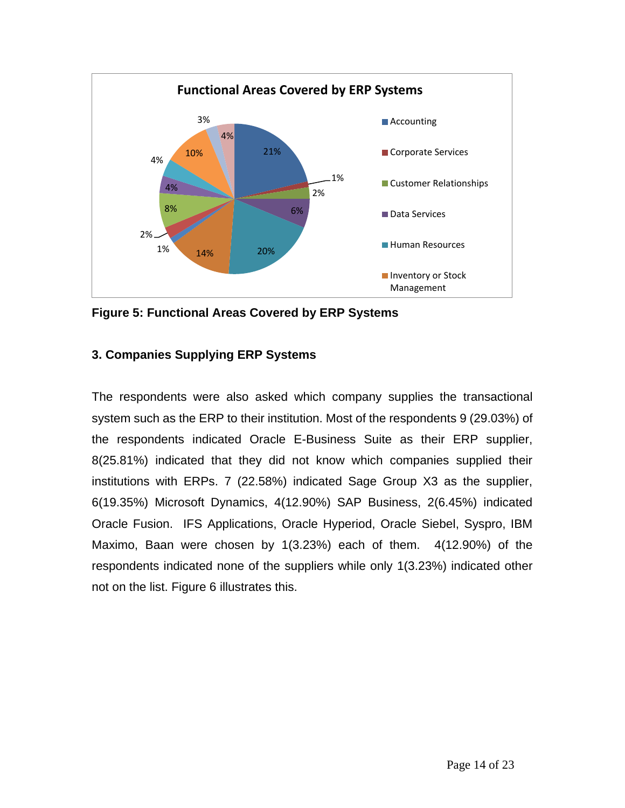

**Figure 5: Functional Areas Covered by ERP Systems** 

#### **3. Companies Supplying ERP Systems**

The respondents were also asked which company supplies the transactional system such as the ERP to their institution. Most of the respondents 9 (29.03%) of the respondents indicated Oracle E-Business Suite as their ERP supplier, 8(25.81%) indicated that they did not know which companies supplied their institutions with ERPs. 7 (22.58%) indicated Sage Group X3 as the supplier, 6(19.35%) Microsoft Dynamics, 4(12.90%) SAP Business, 2(6.45%) indicated Oracle Fusion. IFS Applications, Oracle Hyperiod, Oracle Siebel, Syspro, IBM Maximo, Baan were chosen by 1(3.23%) each of them. 4(12.90%) of the respondents indicated none of the suppliers while only 1(3.23%) indicated other not on the list. Figure 6 illustrates this.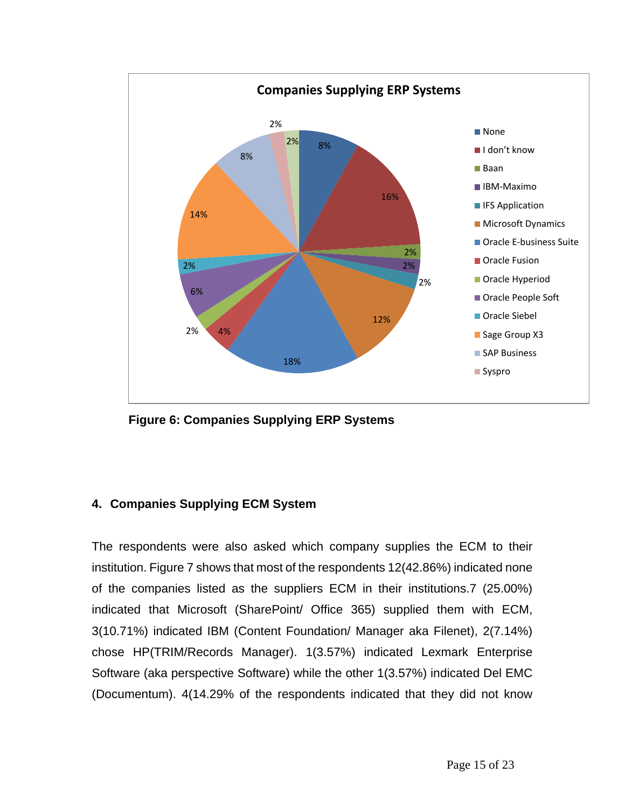

**Figure 6: Companies Supplying ERP Systems**

#### **4. Companies Supplying ECM System**

The respondents were also asked which company supplies the ECM to their institution. Figure 7 shows that most of the respondents 12(42.86%) indicated none of the companies listed as the suppliers ECM in their institutions.7 (25.00%) indicated that Microsoft (SharePoint/ Office 365) supplied them with ECM, 3(10.71%) indicated IBM (Content Foundation/ Manager aka Filenet), 2(7.14%) chose HP(TRIM/Records Manager). 1(3.57%) indicated Lexmark Enterprise Software (aka perspective Software) while the other 1(3.57%) indicated Del EMC (Documentum). 4(14.29% of the respondents indicated that they did not know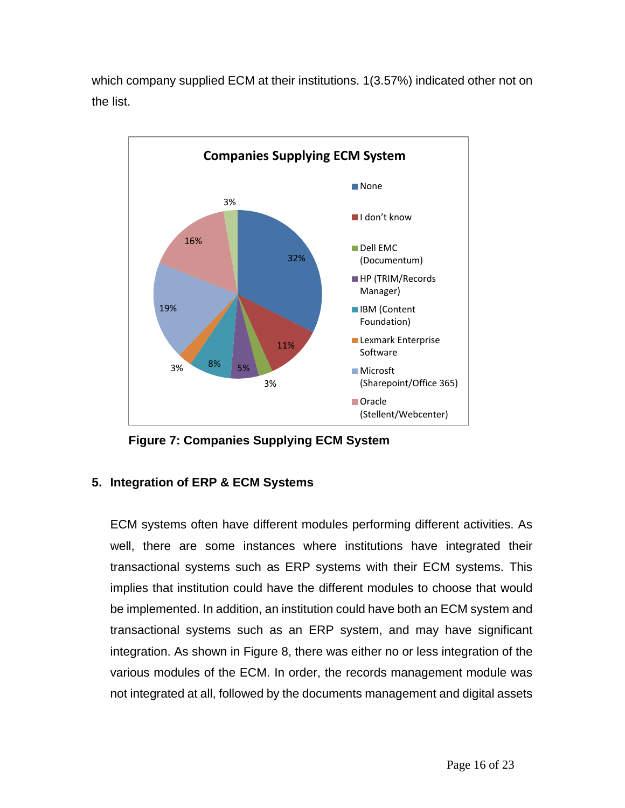which company supplied ECM at their institutions. 1(3.57%) indicated other not on the list.



**Figure 7: Companies Supplying ECM System**

#### **5. Integration of ERP & ECM Systems**

ECM systems often have different modules performing different activities. As well, there are some instances where institutions have integrated their transactional systems such as ERP systems with their ECM systems. This implies that institution could have the different modules to choose that would be implemented. In addition, an institution could have both an ECM system and transactional systems such as an ERP system, and may have significant integration. As shown in Figure 8, there was either no or less integration of the various modules of the ECM. In order, the records management module was not integrated at all, followed by the documents management and digital assets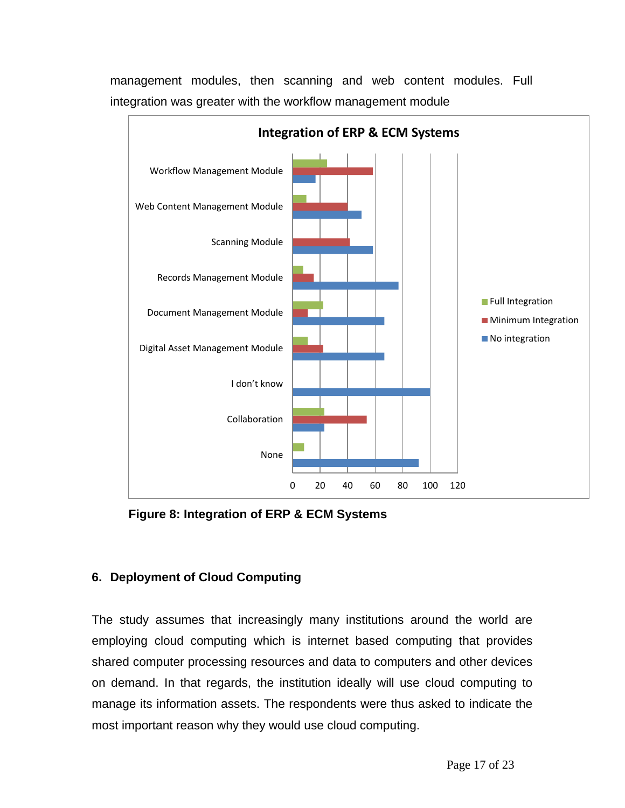

management modules, then scanning and web content modules. Full integration was greater with the workflow management module

**Figure 8: Integration of ERP & ECM Systems**

#### **6. Deployment of Cloud Computing**

The study assumes that increasingly many institutions around the world are employing cloud computing which is internet based computing that provides shared computer processing resources and data to computers and other devices on demand. In that regards, the institution ideally will use cloud computing to manage its information assets. The respondents were thus asked to indicate the most important reason why they would use cloud computing.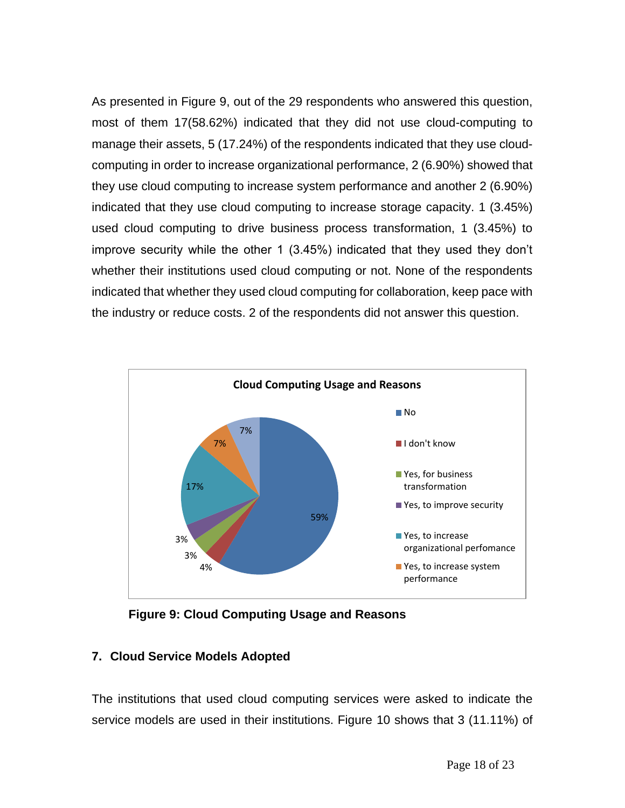As presented in Figure 9, out of the 29 respondents who answered this question, most of them 17(58.62%) indicated that they did not use cloud-computing to manage their assets, 5 (17.24%) of the respondents indicated that they use cloudcomputing in order to increase organizational performance, 2 (6.90%) showed that they use cloud computing to increase system performance and another 2 (6.90%) indicated that they use cloud computing to increase storage capacity. 1 (3.45%) used cloud computing to drive business process transformation, 1 (3.45%) to improve security while the other 1 (3.45%) indicated that they used they don't whether their institutions used cloud computing or not. None of the respondents indicated that whether they used cloud computing for collaboration, keep pace with the industry or reduce costs. 2 of the respondents did not answer this question.



**Figure 9: Cloud Computing Usage and Reasons**

#### **7. Cloud Service Models Adopted**

The institutions that used cloud computing services were asked to indicate the service models are used in their institutions. Figure 10 shows that 3 (11.11%) of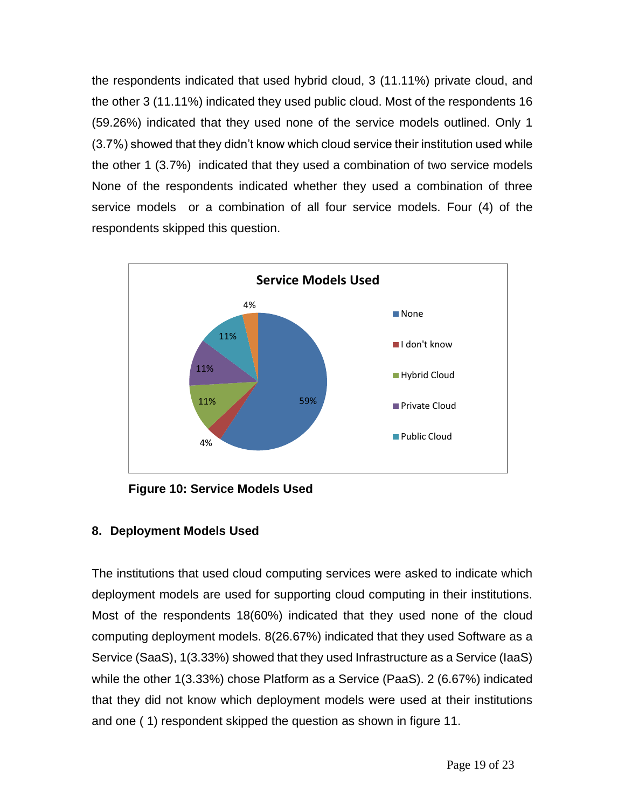the respondents indicated that used hybrid cloud, 3 (11.11%) private cloud, and the other 3 (11.11%) indicated they used public cloud. Most of the respondents 16 (59.26%) indicated that they used none of the service models outlined. Only 1 (3.7%) showed that they didn't know which cloud service their institution used while the other 1 (3.7%) indicated that they used a combination of two service models None of the respondents indicated whether they used a combination of three service models or a combination of all four service models. Four (4) of the respondents skipped this question.



**Figure 10: Service Models Used**

#### **8. Deployment Models Used**

The institutions that used cloud computing services were asked to indicate which deployment models are used for supporting cloud computing in their institutions. Most of the respondents 18(60%) indicated that they used none of the cloud computing deployment models. 8(26.67%) indicated that they used Software as a Service (SaaS), 1(3.33%) showed that they used Infrastructure as a Service (IaaS) while the other 1(3.33%) chose Platform as a Service (PaaS). 2 (6.67%) indicated that they did not know which deployment models were used at their institutions and one ( 1) respondent skipped the question as shown in figure 11.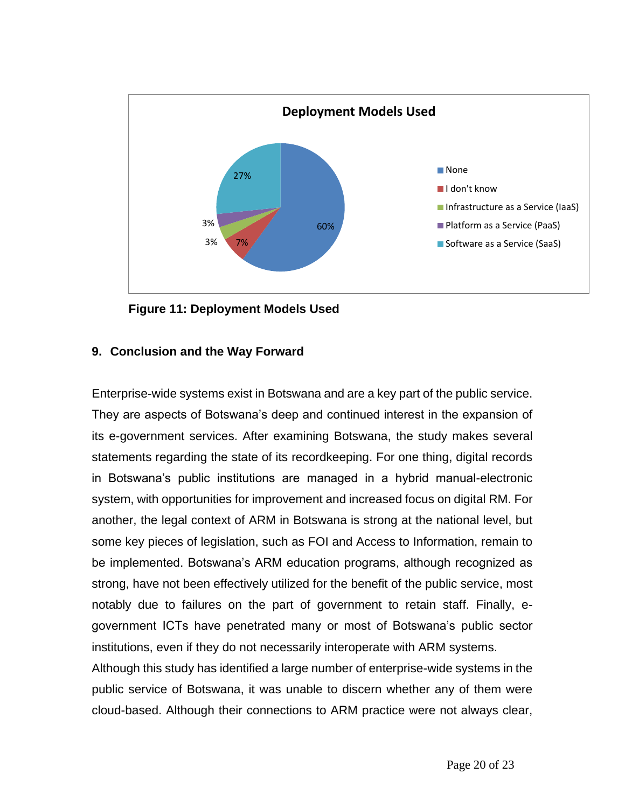

**Figure 11: Deployment Models Used**

#### **9. Conclusion and the Way Forward**

Enterprise-wide systems exist in Botswana and are a key part of the public service. They are aspects of Botswana's deep and continued interest in the expansion of its e-government services. After examining Botswana, the study makes several statements regarding the state of its recordkeeping. For one thing, digital records in Botswana's public institutions are managed in a hybrid manual-electronic system, with opportunities for improvement and increased focus on digital RM. For another, the legal context of ARM in Botswana is strong at the national level, but some key pieces of legislation, such as FOI and Access to Information, remain to be implemented. Botswana's ARM education programs, although recognized as strong, have not been effectively utilized for the benefit of the public service, most notably due to failures on the part of government to retain staff. Finally, egovernment ICTs have penetrated many or most of Botswana's public sector institutions, even if they do not necessarily interoperate with ARM systems.

Although this study has identified a large number of enterprise-wide systems in the public service of Botswana, it was unable to discern whether any of them were cloud-based. Although their connections to ARM practice were not always clear,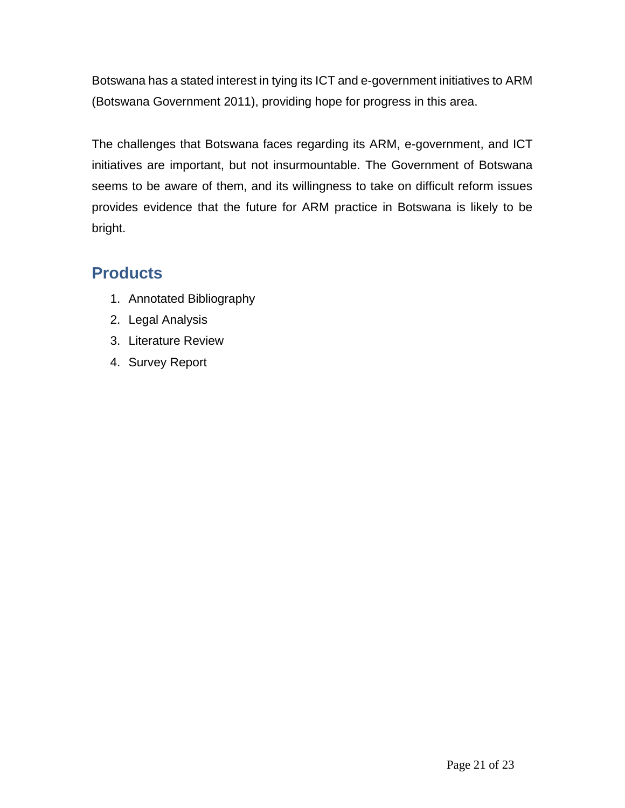Botswana has a stated interest in tying its ICT and e-government initiatives to ARM (Botswana Government 2011), providing hope for progress in this area.

The challenges that Botswana faces regarding its ARM, e-government, and ICT initiatives are important, but not insurmountable. The Government of Botswana seems to be aware of them, and its willingness to take on difficult reform issues provides evidence that the future for ARM practice in Botswana is likely to be bright.

### <span id="page-20-0"></span>**Products**

- 1. Annotated Bibliography
- 2. Legal Analysis
- 3. Literature Review
- 4. Survey Report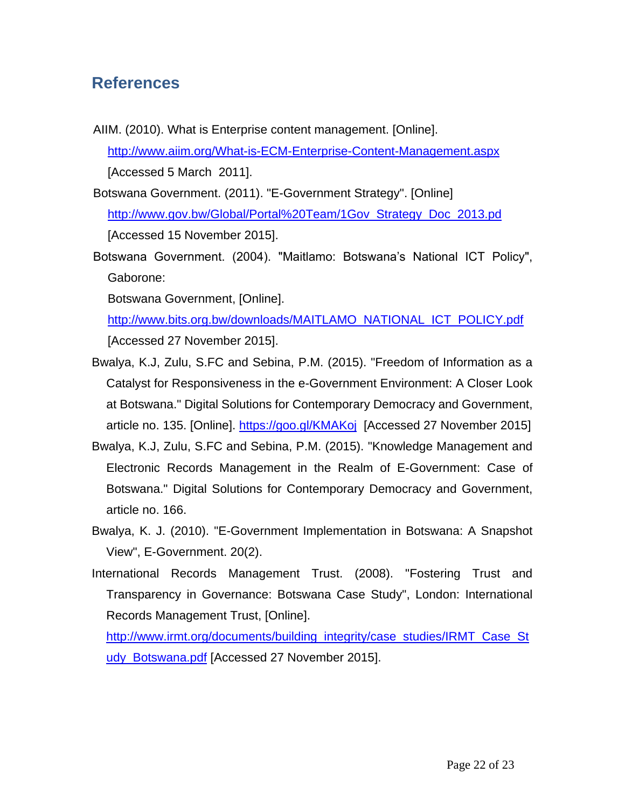### <span id="page-21-0"></span>**References**

AIIM. (2010). What is Enterprise content management. [Online]. <http://www.aiim.org/What-is-ECM-Enterprise-Content-Management.aspx> [Accessed 5 March 2011].

Botswana Government. (2011). "E-Government Strategy". [Online] [http://www.gov.bw/Global/Portal%20Team/1Gov\\_Strategy\\_Doc\\_2013.pd](http://www.gov.bw/Global/Portal%20Team/1Gov_Strategy_Doc_2013.pd) [Accessed 15 November 2015].

Botswana Government. (2004). "Maitlamo: Botswana's National ICT Policy", Gaborone:

Botswana Government, [Online].

[http://www.bits.org.bw/downloads/MAITLAMO\\_NATIONAL\\_ICT\\_POLICY.pdf](http://www.bits.org.bw/downloads/MAITLAMO_NATIONAL_ICT_POLICY.pdf) [Accessed 27 November 2015].

- Bwalya, K.J, Zulu, S.FC and Sebina, P.M. (2015). "Freedom of Information as a Catalyst for Responsiveness in the e-Government Environment: A Closer Look at Botswana." Digital Solutions for Contemporary Democracy and Government, article no. 135. [Online].<https://goo.gl/KMAKoj>[Accessed 27 November 2015]
- Bwalya, K.J, Zulu, S.FC and Sebina, P.M. (2015). "Knowledge Management and Electronic Records Management in the Realm of E-Government: Case of Botswana." Digital Solutions for Contemporary Democracy and Government, article no. 166.
- Bwalya, K. J. (2010). "E-Government Implementation in Botswana: A Snapshot View", E-Government. 20(2).
- International Records Management Trust. (2008). "Fostering Trust and Transparency in Governance: Botswana Case Study", London: International Records Management Trust, [Online].

[http://www.irmt.org/documents/building\\_integrity/case\\_studies/IRMT\\_Case\\_St](http://www.irmt.org/documents/building_integrity/case_studies/IRMT_Case_Study_Botswana.pdf) [udy\\_Botswana.pdf](http://www.irmt.org/documents/building_integrity/case_studies/IRMT_Case_Study_Botswana.pdf) [Accessed 27 November 2015].